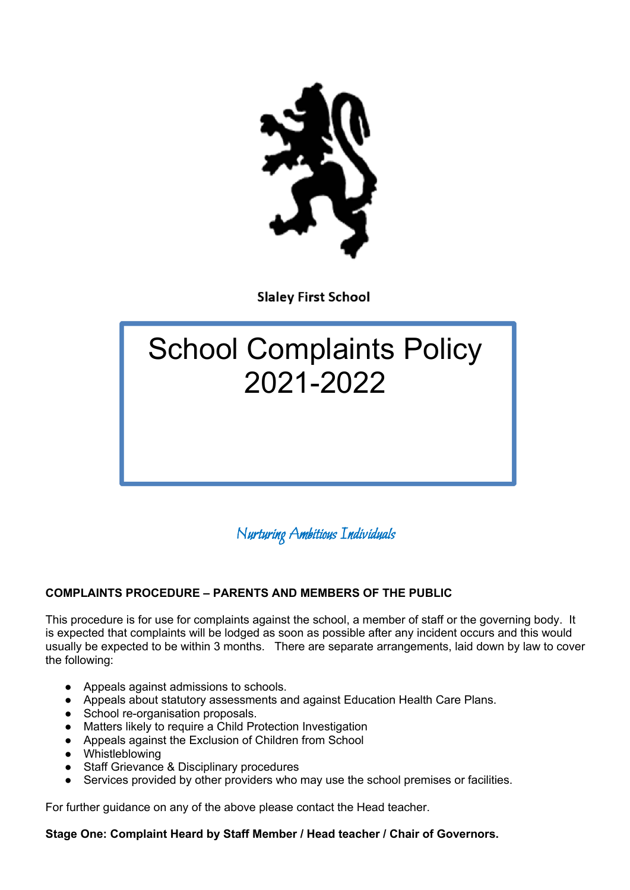

**Slaley First School** 

# School Complaints Policy 2021-2022

Nurturing Ambitious Individuals

# **COMPLAINTS PROCEDURE – PARENTS AND MEMBERS OF THE PUBLIC**

This procedure is for use for complaints against the school, a member of staff or the governing body. It is expected that complaints will be lodged as soon as possible after any incident occurs and this would usually be expected to be within 3 months. There are separate arrangements, laid down by law to cover the following:

- Appeals against admissions to schools.
- Appeals about statutory assessments and against Education Health Care Plans.
- School re-organisation proposals.
- Matters likely to require a Child Protection Investigation
- Appeals against the Exclusion of Children from School
- Whistleblowing
- Staff Grievance & Disciplinary procedures
- Services provided by other providers who may use the school premises or facilities.

For further guidance on any of the above please contact the Head teacher.

# **Stage One: Complaint Heard by Staff Member / Head teacher / Chair of Governors.**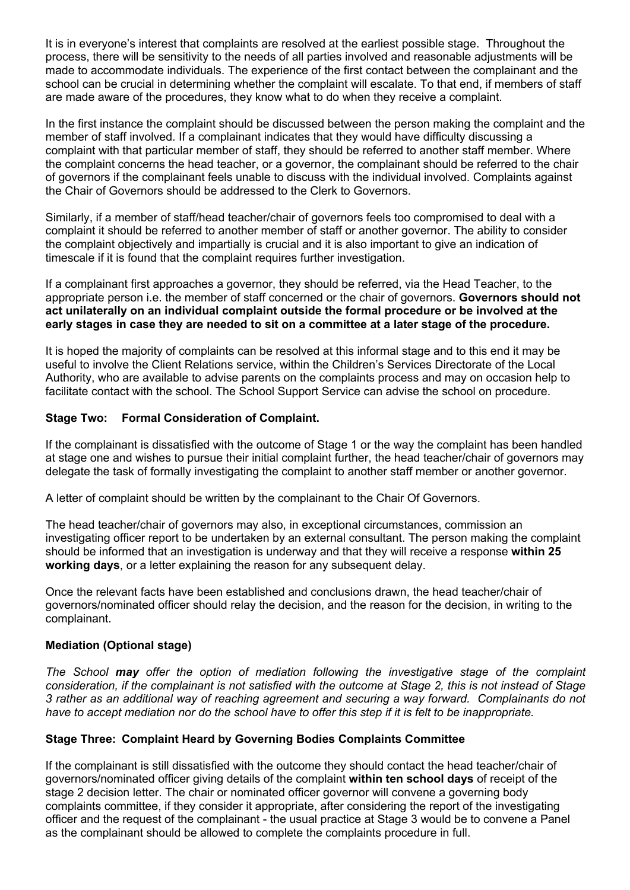It is in everyone's interest that complaints are resolved at the earliest possible stage. Throughout the process, there will be sensitivity to the needs of all parties involved and reasonable adjustments will be made to accommodate individuals. The experience of the first contact between the complainant and the school can be crucial in determining whether the complaint will escalate. To that end, if members of staff are made aware of the procedures, they know what to do when they receive a complaint.

In the first instance the complaint should be discussed between the person making the complaint and the member of staff involved. If a complainant indicates that they would have difficulty discussing a complaint with that particular member of staff, they should be referred to another staff member. Where the complaint concerns the head teacher, or a governor, the complainant should be referred to the chair of governors if the complainant feels unable to discuss with the individual involved. Complaints against the Chair of Governors should be addressed to the Clerk to Governors.

Similarly, if a member of staff/head teacher/chair of governors feels too compromised to deal with a complaint it should be referred to another member of staff or another governor. The ability to consider the complaint objectively and impartially is crucial and it is also important to give an indication of timescale if it is found that the complaint requires further investigation.

If a complainant first approaches a governor, they should be referred, via the Head Teacher, to the appropriate person i.e. the member of staff concerned or the chair of governors. **Governors should not act unilaterally on an individual complaint outside the formal procedure or be involved at the early stages in case they are needed to sit on a committee at a later stage of the procedure.**

It is hoped the majority of complaints can be resolved at this informal stage and to this end it may be useful to involve the Client Relations service, within the Children's Services Directorate of the Local Authority, who are available to advise parents on the complaints process and may on occasion help to facilitate contact with the school. The School Support Service can advise the school on procedure.

# **Stage Two: Formal Consideration of Complaint.**

If the complainant is dissatisfied with the outcome of Stage 1 or the way the complaint has been handled at stage one and wishes to pursue their initial complaint further, the head teacher/chair of governors may delegate the task of formally investigating the complaint to another staff member or another governor.

A letter of complaint should be written by the complainant to the Chair Of Governors.

The head teacher/chair of governors may also, in exceptional circumstances, commission an investigating officer report to be undertaken by an external consultant. The person making the complaint should be informed that an investigation is underway and that they will receive a response **within 25 working days**, or a letter explaining the reason for any subsequent delay.

Once the relevant facts have been established and conclusions drawn, the head teacher/chair of governors/nominated officer should relay the decision, and the reason for the decision, in writing to the complainant.

## **Mediation (Optional stage)**

*The School may offer the option of mediation following the investigative stage of the complaint consideration, if the complainant is not satisfied with the outcome at Stage 2, this is not instead of Stage 3 rather as an additional way of reaching agreement and securing a way forward. Complainants do not have to accept mediation nor do the school have to offer this step if it is felt to be inappropriate.* 

## **Stage Three: Complaint Heard by Governing Bodies Complaints Committee**

If the complainant is still dissatisfied with the outcome they should contact the head teacher/chair of governors/nominated officer giving details of the complaint **within ten school days** of receipt of the stage 2 decision letter. The chair or nominated officer governor will convene a governing body complaints committee, if they consider it appropriate, after considering the report of the investigating officer and the request of the complainant - the usual practice at Stage 3 would be to convene a Panel as the complainant should be allowed to complete the complaints procedure in full.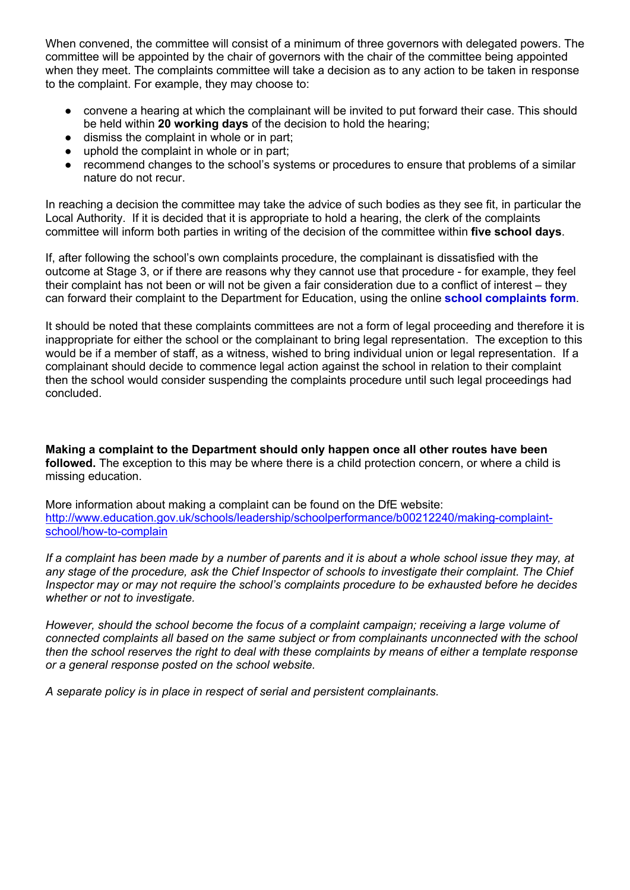When convened, the committee will consist of a minimum of three governors with delegated powers. The committee will be appointed by the chair of governors with the chair of the committee being appointed when they meet. The complaints committee will take a decision as to any action to be taken in response to the complaint. For example, they may choose to:

- convene a hearing at which the complainant will be invited to put forward their case. This should be held within **20 working days** of the decision to hold the hearing;
- dismiss the complaint in whole or in part;
- uphold the complaint in whole or in part;
- recommend changes to the school's systems or procedures to ensure that problems of a similar nature do not recur.

In reaching a decision the committee may take the advice of such bodies as they see fit, in particular the Local Authority. If it is decided that it is appropriate to hold a hearing, the clerk of the complaints committee will inform both parties in writing of the decision of the committee within **five school days**.

If, after following the school's own complaints procedure, the complainant is dissatisfied with the outcome at Stage 3, or if there are reasons why they cannot use that procedure - for example, they feel their complaint has not been or will not be given a fair consideration due to a conflict of interest – they can forward their complaint to the Department for Education, using the online **school complaints form**.

It should be noted that these complaints committees are not a form of legal proceeding and therefore it is inappropriate for either the school or the complainant to bring legal representation. The exception to this would be if a member of staff, as a witness, wished to bring individual union or legal representation. If a complainant should decide to commence legal action against the school in relation to their complaint then the school would consider suspending the complaints procedure until such legal proceedings had concluded.

**Making a complaint to the Department should only happen once all other routes have been followed.** The exception to this may be where there is a child protection concern, or where a child is missing education.

More information about making a complaint can be found on the DfE website: http://www.education.gov.uk/schools/leadership/schoolperformance/b00212240/making-complaintschool/how-to-complain

*If a complaint has been made by a number of parents and it is about a whole school issue they may, at any stage of the procedure, ask the Chief Inspector of schools to investigate their complaint. The Chief Inspector may or may not require the school's complaints procedure to be exhausted before he decides whether or not to investigate.* 

*However, should the school become the focus of a complaint campaign; receiving a large volume of connected complaints all based on the same subject or from complainants unconnected with the school then the school reserves the right to deal with these complaints by means of either a template response or a general response posted on the school website.* 

*A separate policy is in place in respect of serial and persistent complainants.*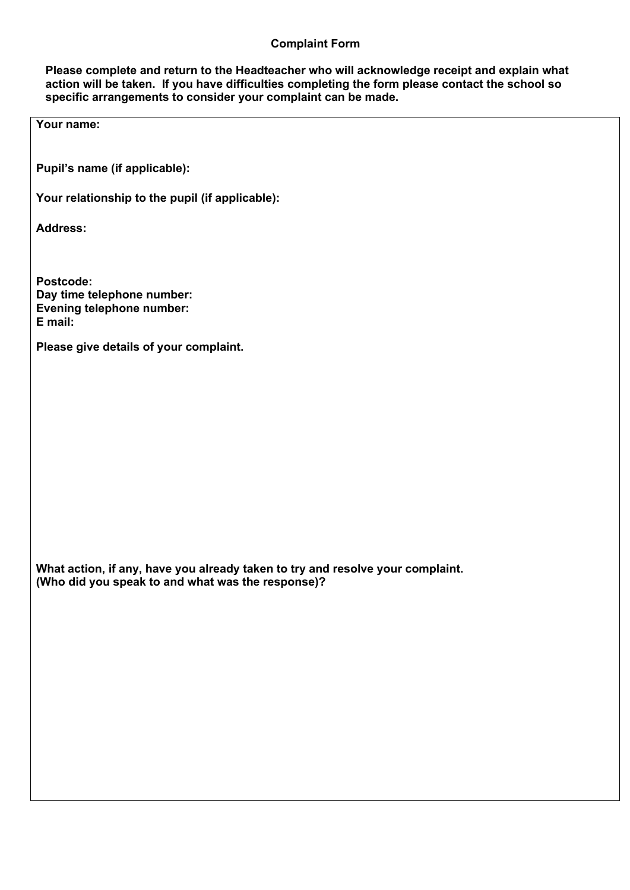### **Complaint Form**

**Please complete and return to the Headteacher who will acknowledge receipt and explain what action will be taken. If you have difficulties completing the form please contact the school so specific arrangements to consider your complaint can be made.**

**Your name:**

**Pupil's name (if applicable):**

**Your relationship to the pupil (if applicable):**

**Address:**

**Postcode: Day time telephone number: Evening telephone number: E mail:**

**Please give details of your complaint.**

**What action, if any, have you already taken to try and resolve your complaint. (Who did you speak to and what was the response)?**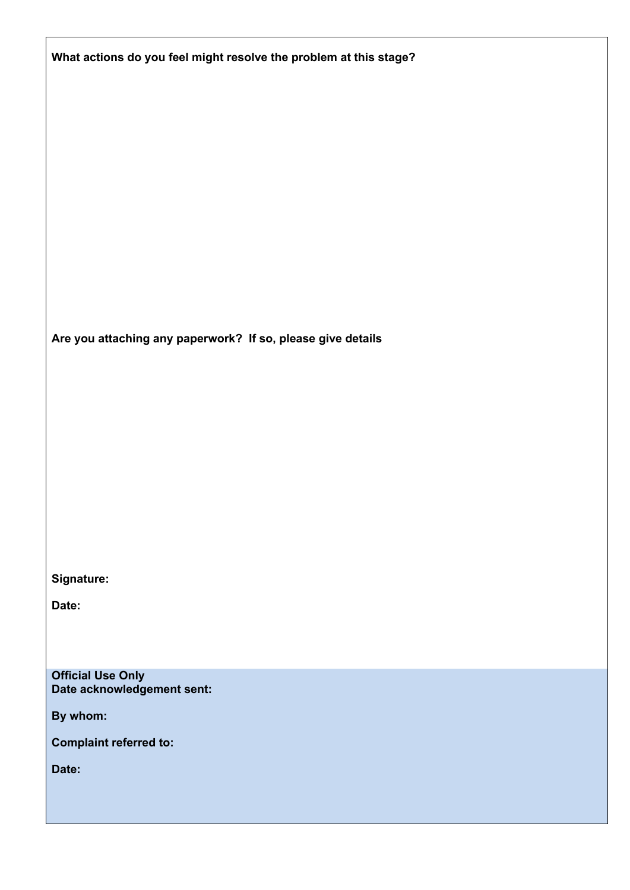| What actions do you feel might resolve the problem at this stage? |
|-------------------------------------------------------------------|
|                                                                   |
|                                                                   |
|                                                                   |
|                                                                   |
|                                                                   |
|                                                                   |
|                                                                   |
| Are you attaching any paperwork? If so, please give details       |
|                                                                   |
|                                                                   |
|                                                                   |
|                                                                   |
|                                                                   |
|                                                                   |
| Signature:                                                        |
| Date:                                                             |
|                                                                   |
| <b>Official Use Only</b>                                          |
| Date acknowledgement sent:<br>By whom:                            |

**Complaint referred to:**

**Date:**